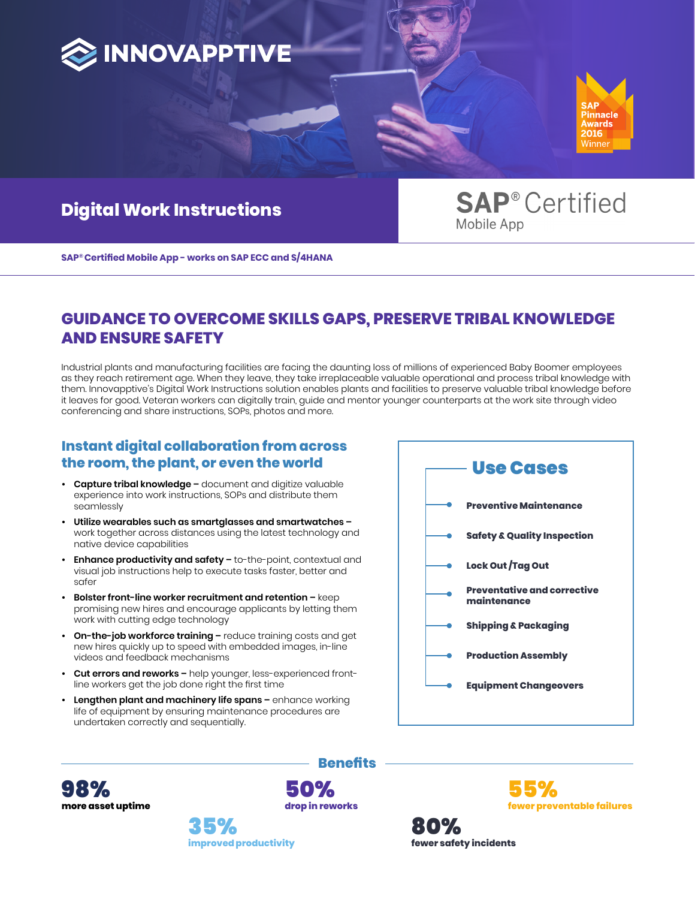



# **Digital Work Instructions**

**SAP® Certified** Mobile App

**SAP® Certified Mobile App - works on SAP ECC and S/4HANA** 

## **GUIDANCE TO OVERCOME SKILLS GAPS, PRESERVE TRIBAL KNOWLEDGE AND ENSURE SAFETY**

Industrial plants and manufacturing facilities are facing the daunting loss of millions of experienced Baby Boomer employees as they reach retirement age. When they leave, they take irreplaceable valuable operational and process tribal knowledge with them. Innovapptive's Digital Work Instructions solution enables plants and facilities to preserve valuable tribal knowledge before it leaves for good. Veteran workers can digitally train, guide and mentor younger counterparts at the work site through video conferencing and share instructions, SOPs, photos and more.

**Benefits**

50%

### **Instant digital collaboration from across the room, the plant, or even the world**

- **• Capture tribal knowledge –** document and digitize valuable experience into work instructions, SOPs and distribute them seamlessly
- **• Utilize wearables such as smartglasses and smartwatches –** work together across distances using the latest technology and native device capabilities
- **Enhance productivity and safety -** to-the-point, contextual and visual job instructions help to execute tasks faster, better and safer
- **• Bolster front-line worker recruitment and retention –** keep promising new hires and encourage applicants by letting them work with cutting edge technology
- **• On-the-job workforce training –** reduce training costs and get new hires quickly up to speed with embedded images, in-line videos and feedback mechanisms
- **• Cut errors and reworks –** help younger, less-experienced frontline workers get the job done right the first time
- **• Lengthen plant and machinery life spans –** enhance working life of equipment by ensuring maintenance procedures are undertaken correctly and sequentially.



**more asset uptime** 98%

**drop in reworks improved productivity** 35%

**fewer safety incidents** 80%